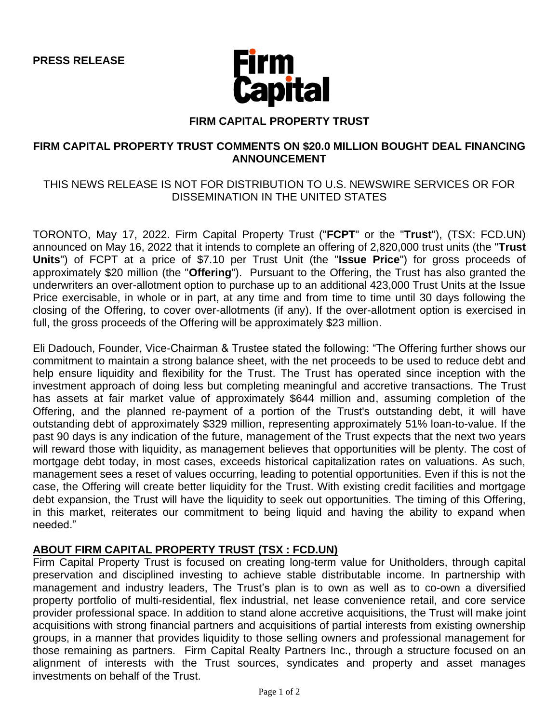

### **FIRM CAPITAL PROPERTY TRUST**

### **FIRM CAPITAL PROPERTY TRUST COMMENTS ON \$20.0 MILLION BOUGHT DEAL FINANCING ANNOUNCEMENT**

# THIS NEWS RELEASE IS NOT FOR DISTRIBUTION TO U.S. NEWSWIRE SERVICES OR FOR DISSEMINATION IN THE UNITED STATES

TORONTO, May 17, 2022. Firm Capital Property Trust ("**FCPT**" or the "**Trust**"), (TSX: FCD.UN) announced on May 16, 2022 that it intends to complete an offering of 2,820,000 trust units (the "**Trust Units**") of FCPT at a price of \$7.10 per Trust Unit (the "**Issue Price**") for gross proceeds of approximately \$20 million (the "**Offering**"). Pursuant to the Offering, the Trust has also granted the underwriters an over-allotment option to purchase up to an additional 423,000 Trust Units at the Issue Price exercisable, in whole or in part, at any time and from time to time until 30 days following the closing of the Offering, to cover over-allotments (if any). If the over-allotment option is exercised in full, the gross proceeds of the Offering will be approximately \$23 million.

Eli Dadouch, Founder, Vice-Chairman & Trustee stated the following: "The Offering further shows our commitment to maintain a strong balance sheet, with the net proceeds to be used to reduce debt and help ensure liquidity and flexibility for the Trust. The Trust has operated since inception with the investment approach of doing less but completing meaningful and accretive transactions. The Trust has assets at fair market value of approximately \$644 million and, assuming completion of the Offering, and the planned re-payment of a portion of the Trust's outstanding debt, it will have outstanding debt of approximately \$329 million, representing approximately 51% loan-to-value. If the past 90 days is any indication of the future, management of the Trust expects that the next two years will reward those with liquidity, as management believes that opportunities will be plenty. The cost of mortgage debt today, in most cases, exceeds historical capitalization rates on valuations. As such, management sees a reset of values occurring, leading to potential opportunities. Even if this is not the case, the Offering will create better liquidity for the Trust. With existing credit facilities and mortgage debt expansion, the Trust will have the liquidity to seek out opportunities. The timing of this Offering, in this market, reiterates our commitment to being liquid and having the ability to expand when needed."

### **ABOUT FIRM CAPITAL PROPERTY TRUST (TSX : FCD.UN)**

Firm Capital Property Trust is focused on creating long-term value for Unitholders, through capital preservation and disciplined investing to achieve stable distributable income. In partnership with management and industry leaders, The Trust's plan is to own as well as to co-own a diversified property portfolio of multi-residential, flex industrial, net lease convenience retail, and core service provider professional space. In addition to stand alone accretive acquisitions, the Trust will make joint acquisitions with strong financial partners and acquisitions of partial interests from existing ownership groups, in a manner that provides liquidity to those selling owners and professional management for those remaining as partners. Firm Capital Realty Partners Inc., through a structure focused on an alignment of interests with the Trust sources, syndicates and property and asset manages investments on behalf of the Trust.